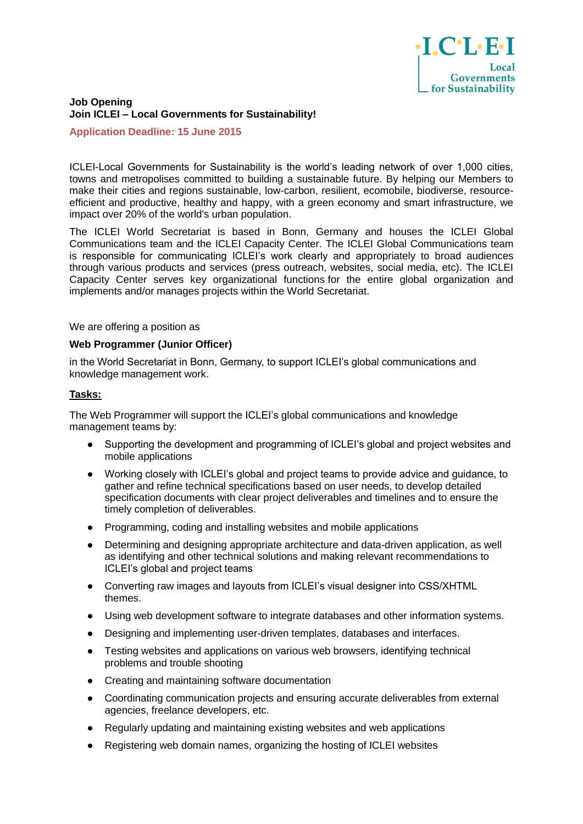

## **Job Opening Join ICLEI – Local Governments for Sustainability!**

### **Application Deadline: 15 June 2015**

ICLEI-Local Governments for Sustainability is the world's leading network of over 1,000 cities, towns and metropolises committed to building a sustainable future. By helping our Members to make their cities and regions sustainable, low-carbon, resilient, ecomobile, biodiverse, resourceefficient and productive, healthy and happy, with a green economy and smart infrastructure, we impact over 20% of the world's urban population.

The ICLEI World Secretariat is based in Bonn, Germany and houses the ICLEI Global Communications team and the ICLEI Capacity Center. The ICLEI Global Communications team is responsible for communicating ICLEI's work clearly and appropriately to broad audiences through various products and services (press outreach, websites, social media, etc). The ICLEI Capacity Center serves key organizational functions for the entire global organization and implements and/or manages projects within the World Secretariat.

## We are offering a position as

#### **Web Programmer (Junior Officer)**

in the World Secretariat in Bonn, Germany, to support ICLEI's global communications and knowledge management work.

### **Tasks:**

The Web Programmer will support the ICLEI's global communications and knowledge management teams by:

- Supporting the development and programming of ICLEI's global and project websites and mobile applications
- Working closely with ICLEI's global and project teams to provide advice and guidance, to gather and refine technical specifications based on user needs, to develop detailed specification documents with clear project deliverables and timelines and to ensure the timely completion of deliverables.
- Programming, coding and installing websites and mobile applications
- Determining and designing appropriate architecture and data-driven application, as well as identifying and other technical solutions and making relevant recommendations to ICLEI's global and project teams
- Converting raw images and layouts from ICLEI's visual designer into CSS/XHTML themes.
- Using web development software to integrate databases and other information systems.
- Designing and implementing user-driven templates, databases and interfaces.
- Testing websites and applications on various web browsers, identifying technical problems and trouble shooting
- Creating and maintaining software documentation
- Coordinating communication projects and ensuring accurate deliverables from external agencies, freelance developers, etc.
- Regularly updating and maintaining existing websites and web applications
- Registering web domain names, organizing the hosting of ICLEI websites